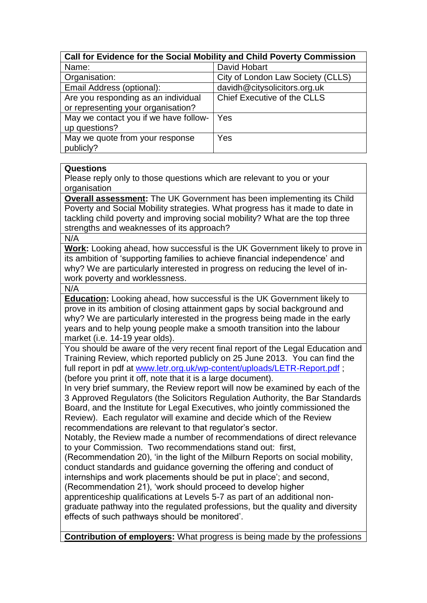| Call for Evidence for the Social Mobility and Child Poverty Commission |                                    |
|------------------------------------------------------------------------|------------------------------------|
| Name:                                                                  | David Hobart                       |
| Organisation:                                                          | City of London Law Society (CLLS)  |
| Email Address (optional):                                              | davidh@citysolicitors.org.uk       |
| Are you responding as an individual                                    | <b>Chief Executive of the CLLS</b> |
| or representing your organisation?                                     |                                    |
| May we contact you if we have follow-                                  | Yes                                |
| up questions?                                                          |                                    |
| May we quote from your response                                        | Yes                                |
| publicly?                                                              |                                    |

## **Questions**

Please reply only to those questions which are relevant to you or your organisation

**Overall assessment:** The UK Government has been implementing its Child Poverty and Social Mobility strategies. What progress has it made to date in tackling child poverty and improving social mobility? What are the top three strengths and weaknesses of its approach?

N/A

**Work:** Looking ahead, how successful is the UK Government likely to prove in its ambition of 'supporting families to achieve financial independence' and why? We are particularly interested in progress on reducing the level of inwork poverty and worklessness.

N/A

**Education:** Looking ahead, how successful is the UK Government likely to prove in its ambition of closing attainment gaps by social background and why? We are particularly interested in the progress being made in the early years and to help young people make a smooth transition into the labour market (i.e. 14-19 year olds).

You should be aware of the very recent final report of the Legal Education and Training Review, which reported publicly on 25 June 2013. You can find the full report in pdf at [www.letr.org.uk/wp-content/uploads/LETR-Report.pdf](http://www.letr.org.uk/wp-content/uploads/LETR-Report.pdf) ; (before you print it off, note that it is a large document).

In very brief summary, the Review report will now be examined by each of the 3 Approved Regulators (the Solicitors Regulation Authority, the Bar Standards Board, and the Institute for Legal Executives, who jointly commissioned the Review). Each regulator will examine and decide which of the Review recommendations are relevant to that regulator's sector.

Notably, the Review made a number of recommendations of direct relevance to your Commission. Two recommendations stand out: first,

(Recommendation 20), 'in the light of the Milburn Reports on social mobility, conduct standards and guidance governing the offering and conduct of internships and work placements should be put in place'; and second, (Recommendation 21), 'work should proceed to develop higher

apprenticeship qualifications at Levels 5-7 as part of an additional nongraduate pathway into the regulated professions, but the quality and diversity effects of such pathways should be monitored'.

**Contribution of employers:** What progress is being made by the professions